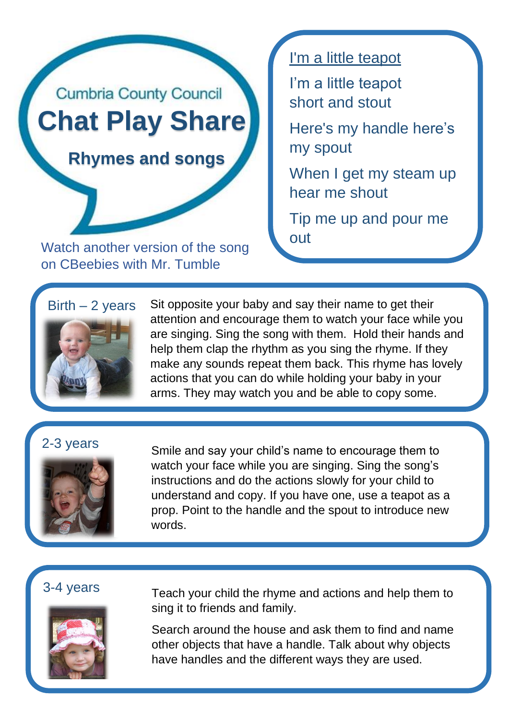

Watch another version of the song on CBeebies with Mr. Tumble

I'm a little teapot

I'm a little teapot short and stout

Here's my handle here's my spout

When I get my steam up hear me shout

Tip me up and pour me

## $Birth - 2 years$



Sit opposite your baby and say their name to get their attention and encourage them to watch your face while you are singing. Sing the song with them. Hold their hands and help them clap the rhythm as you sing the rhyme. If they make any sounds repeat them back. This rhyme has lovely actions that you can do while holding your baby in your arms. They may watch you and be able to copy some.

## 2-3 years



Smile and say your child's name to encourage them to watch your face while you are singing. Sing the song's instructions and do the actions slowly for your child to understand and copy. If you have one, use a teapot as a prop. Point to the handle and the spout to introduce new words.

You could make your voice go higher on "up" and louder

You could make you voice rise and fall to the tune.

## 3-4 years



Teach your child the rhyme and actions and help them to sing it to friends and family.

Search around the house and ask them to find and name other objects that have a handle. Talk about why objects have handles and the different ways they are used.